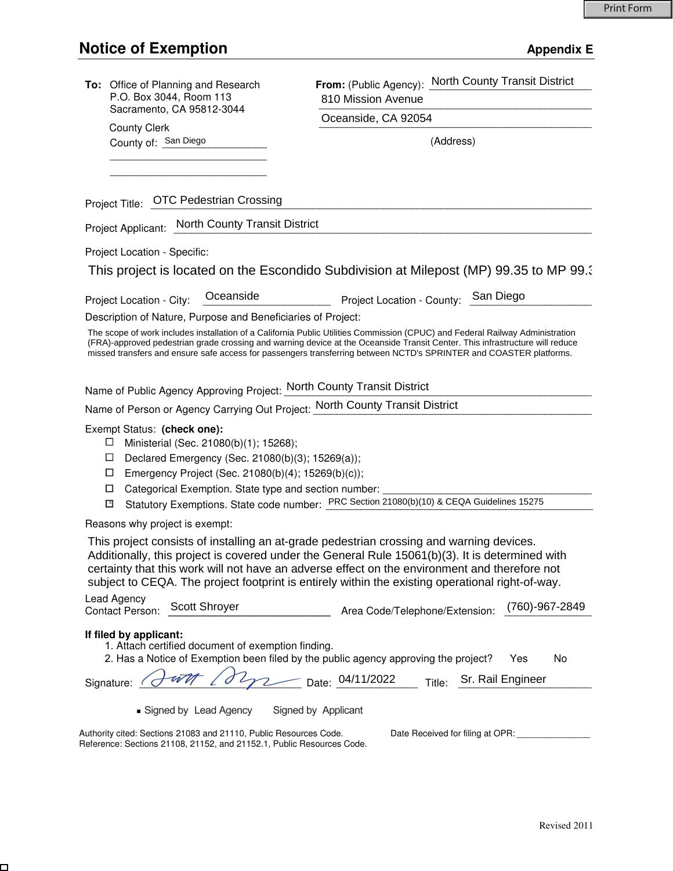$\Box$ 

| To: Office of Planning and Research<br>P.O. Box 3044, Room 113                                                                                                                                                                                                             | From: (Public Agency): North County Transit District<br>810 Mission Avenue                                                                                                                                                                                                                                                                                                                       |
|----------------------------------------------------------------------------------------------------------------------------------------------------------------------------------------------------------------------------------------------------------------------------|--------------------------------------------------------------------------------------------------------------------------------------------------------------------------------------------------------------------------------------------------------------------------------------------------------------------------------------------------------------------------------------------------|
| Sacramento, CA 95812-3044                                                                                                                                                                                                                                                  | Oceanside, CA 92054                                                                                                                                                                                                                                                                                                                                                                              |
| <b>County Clerk</b><br>County of: San Diego                                                                                                                                                                                                                                | (Address)                                                                                                                                                                                                                                                                                                                                                                                        |
|                                                                                                                                                                                                                                                                            |                                                                                                                                                                                                                                                                                                                                                                                                  |
| Project Title: OTC Pedestrian Crossing                                                                                                                                                                                                                                     |                                                                                                                                                                                                                                                                                                                                                                                                  |
| Project Applicant: North County Transit District                                                                                                                                                                                                                           |                                                                                                                                                                                                                                                                                                                                                                                                  |
| Project Location - Specific:                                                                                                                                                                                                                                               |                                                                                                                                                                                                                                                                                                                                                                                                  |
|                                                                                                                                                                                                                                                                            | This project is located on the Escondido Subdivision at Milepost (MP) 99.35 to MP 99.3                                                                                                                                                                                                                                                                                                           |
| Oceanside<br>Project Location - City:                                                                                                                                                                                                                                      | San Diego<br>Project Location - County:                                                                                                                                                                                                                                                                                                                                                          |
| Description of Nature, Purpose and Beneficiaries of Project:                                                                                                                                                                                                               |                                                                                                                                                                                                                                                                                                                                                                                                  |
|                                                                                                                                                                                                                                                                            | The scope of work includes installation of a California Public Utilities Commission (CPUC) and Federal Railway Administration<br>(FRA)-approved pedestrian grade crossing and warning device at the Oceanside Transit Center. This infrastructure will reduce<br>missed transfers and ensure safe access for passengers transferring between NCTD's SPRINTER and COASTER platforms.              |
| Name of Public Agency Approving Project: North County Transit District                                                                                                                                                                                                     |                                                                                                                                                                                                                                                                                                                                                                                                  |
| Name of Person or Agency Carrying Out Project: North County Transit District                                                                                                                                                                                               |                                                                                                                                                                                                                                                                                                                                                                                                  |
| Exempt Status: (check one):<br>Ministerial (Sec. 21080(b)(1); 15268);<br>ப<br>$\Box$<br>Declared Emergency (Sec. 21080(b)(3); 15269(a));<br>Emergency Project (Sec. 21080(b)(4); 15269(b)(c));<br>ப<br>Categorical Exemption. State type and section number: ___<br>□<br>⊡ | Statutory Exemptions. State code number: PRC Section 21080(b)(10) & CEQA Guidelines 15275                                                                                                                                                                                                                                                                                                        |
| Reasons why project is exempt:                                                                                                                                                                                                                                             |                                                                                                                                                                                                                                                                                                                                                                                                  |
|                                                                                                                                                                                                                                                                            | This project consists of installing an at-grade pedestrian crossing and warning devices.<br>Additionally, this project is covered under the General Rule 15061(b)(3). It is determined with<br>certainty that this work will not have an adverse effect on the environment and therefore not<br>subject to CEQA. The project footprint is entirely within the existing operational right-of-way. |
| Lead Agency<br>Scott Shroyer<br>Contact Person:                                                                                                                                                                                                                            | (760)-967-2849<br>Area Code/Telephone/Extension:                                                                                                                                                                                                                                                                                                                                                 |
| If filed by applicant:<br>1. Attach certified document of exemption finding.<br>2. Has a Notice of Exemption been filed by the public agency approving the project?                                                                                                        | No<br>Yes                                                                                                                                                                                                                                                                                                                                                                                        |
| Signature:                                                                                                                                                                                                                                                                 | $-$ Date: 04/11/2022<br>Sr. Rail Engineer<br>Title:                                                                                                                                                                                                                                                                                                                                              |
| Signed by Lead Agency                                                                                                                                                                                                                                                      | Signed by Applicant                                                                                                                                                                                                                                                                                                                                                                              |
| Authority cited: Sections 21083 and 21110, Public Resources Code.<br>Reference: Sections 21108, 21152, and 21152.1, Public Resources Code.                                                                                                                                 | Date Received for filing at OPR: ______________                                                                                                                                                                                                                                                                                                                                                  |